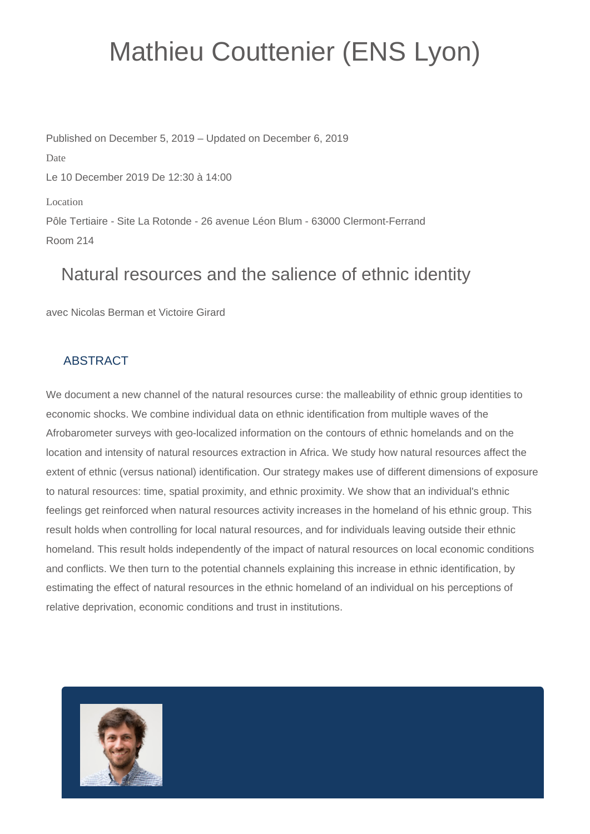## Mathieu Couttenier (ENS Lyon)

Published on December 5, 2019 – Updated on December 6, 2019 Date Le 10 December 2019 De 12:30 à 14:00 Location Pôle Tertiaire - Site La Rotonde - 26 avenue Léon Blum - 63000 Clermont-Ferrand Room 214

## Natural resources and the salience of ethnic identity

avec Nicolas Berman et Victoire Girard

## **ABSTRACT**

We document a new channel of the natural resources curse: the malleability of ethnic group identities to economic shocks. We combine individual data on ethnic identification from multiple waves of the Afrobarometer surveys with geo-localized information on the contours of ethnic homelands and on the location and intensity of natural resources extraction in Africa. We study how natural resources affect the extent of ethnic (versus national) identification. Our strategy makes use of different dimensions of exposure to natural resources: time, spatial proximity, and ethnic proximity. We show that an individual's ethnic feelings get reinforced when natural resources activity increases in the homeland of his ethnic group. This result holds when controlling for local natural resources, and for individuals leaving outside their ethnic homeland. This result holds independently of the impact of natural resources on local economic conditions and conflicts. We then turn to the potential channels explaining this increase in ethnic identification, by estimating the effect of natural resources in the ethnic homeland of an individual on his perceptions of relative deprivation, economic conditions and trust in institutions.